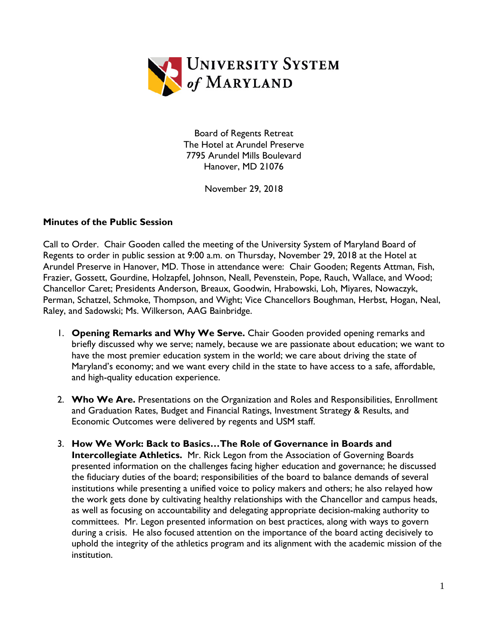

Board of Regents Retreat The Hotel at Arundel Preserve 7795 Arundel Mills Boulevard Hanover, MD 21076

November 29, 2018

## **Minutes of the Public Session**

Call to Order. Chair Gooden called the meeting of the University System of Maryland Board of Regents to order in public session at 9:00 a.m. on Thursday, November 29, 2018 at the Hotel at Arundel Preserve in Hanover, MD. Those in attendance were: Chair Gooden; Regents Attman, Fish, Frazier, Gossett, Gourdine, Holzapfel, Johnson, Neall, Pevenstein, Pope, Rauch, Wallace, and Wood; Chancellor Caret; Presidents Anderson, Breaux, Goodwin, Hrabowski, Loh, Miyares, Nowaczyk, Perman, Schatzel, Schmoke, Thompson, and Wight; Vice Chancellors Boughman, Herbst, Hogan, Neal, Raley, and Sadowski; Ms. Wilkerson, AAG Bainbridge.

- 1. **Opening Remarks and Why We Serve.** Chair Gooden provided opening remarks and briefly discussed why we serve; namely, because we are passionate about education; we want to have the most premier education system in the world; we care about driving the state of Maryland's economy; and we want every child in the state to have access to a safe, affordable, and high-quality education experience.
- 2. **Who We Are.** Presentations on the Organization and Roles and Responsibilities, Enrollment and Graduation Rates, Budget and Financial Ratings, Investment Strategy & Results, and Economic Outcomes were delivered by regents and USM staff.
- 3. **How We Work: Back to Basics…The Role of Governance in Boards and Intercollegiate Athletics.** Mr. Rick Legon from the Association of Governing Boards presented information on the challenges facing higher education and governance; he discussed the fiduciary duties of the board; responsibilities of the board to balance demands of several institutions while presenting a unified voice to policy makers and others; he also relayed how the work gets done by cultivating healthy relationships with the Chancellor and campus heads, as well as focusing on accountability and delegating appropriate decision-making authority to committees. Mr. Legon presented information on best practices, along with ways to govern during a crisis. He also focused attention on the importance of the board acting decisively to uphold the integrity of the athletics program and its alignment with the academic mission of the institution.